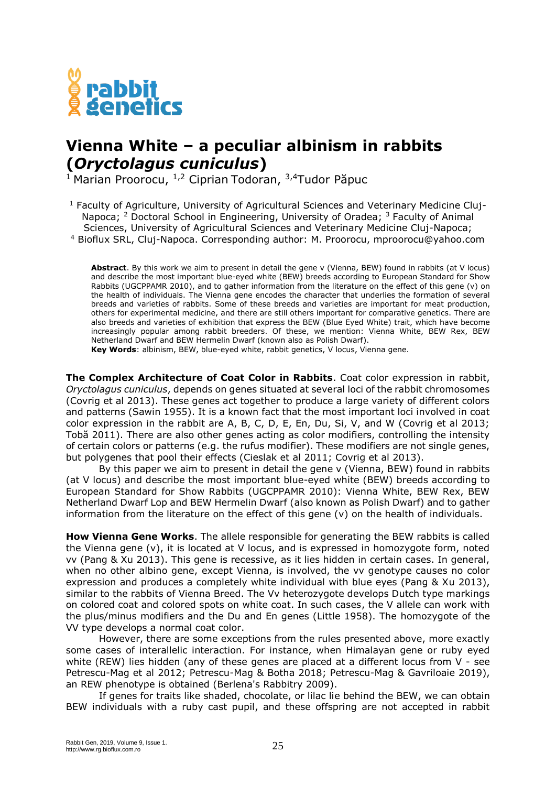

## **Vienna White – a peculiar albinism in rabbits (***Oryctolagus cuniculus***)**

<sup>1</sup> Marian Proorocu, <sup>1,2</sup> Ciprian Todoran, <sup>3,4</sup>Tudor Păpuc

<sup>1</sup> Faculty of Agriculture, University of Agricultural Sciences and Veterinary Medicine Cluj-Napoca; <sup>2</sup> Doctoral School in Engineering, University of Oradea; <sup>3</sup> Faculty of Animal Sciences, University of Agricultural Sciences and Veterinary Medicine Cluj-Napoca; <sup>4</sup> Bioflux SRL, Cluj-Napoca. Corresponding author: M. Proorocu, mproorocu@yahoo.com

**Abstract**. By this work we aim to present in detail the gene v (Vienna, BEW) found in rabbits (at V locus) and describe the most important blue-eyed white (BEW) breeds according to European Standard for Show Rabbits (UGCPPAMR 2010), and to gather information from the literature on the effect of this gene (v) on the health of individuals. The Vienna gene encodes the character that underlies the formation of several breeds and varieties of rabbits. Some of these breeds and varieties are important for meat production, others for experimental medicine, and there are still others important for comparative genetics. There are also breeds and varieties of exhibition that express the BEW (Blue Eyed White) trait, which have become increasingly popular among rabbit breeders. Of these, we mention: Vienna White, BEW Rex, BEW Netherland Dwarf and BEW Hermelin Dwarf (known also as Polish Dwarf).

**Key Words**: albinism, BEW, blue-eyed white, rabbit genetics, V locus, Vienna gene.

**The Complex Architecture of Coat Color in Rabbits**. Coat color expression in rabbit, *Oryctolagus cuniculus*, depends on genes situated at several loci of the rabbit chromosomes (Covrig et al 2013). These genes act together to produce a large variety of different colors and patterns (Sawin 1955). It is a known fact that the most important loci involved in coat color expression in the rabbit are A, B, C, D, E, En, Du, Si, V, and W (Covrig et al 2013; Tobă 2011). There are also other genes acting as color modifiers, controlling the intensity of certain colors or patterns (e.g. the rufus modifier). These modifiers are not single genes, but polygenes that pool their effects (Cieslak et al 2011; Covrig et al 2013).

By this paper we aim to present in detail the gene v (Vienna, BEW) found in rabbits (at V locus) and describe the most important blue-eyed white (BEW) breeds according to European Standard for Show Rabbits (UGCPPAMR 2010): Vienna White, BEW Rex, BEW Netherland Dwarf Lop and BEW Hermelin Dwarf (also known as Polish Dwarf) and to gather information from the literature on the effect of this gene (v) on the health of individuals.

**How Vienna Gene Works**. The allele responsible for generating the BEW rabbits is called the Vienna gene (v), it is located at V locus, and is expressed in homozygote form, noted vv (Pang & Xu 2013). This gene is recessive, as it lies hidden in certain cases. In general, when no other albino gene, except Vienna, is involved, the vv genotype causes no color expression and produces a completely white individual with blue eyes (Pang & Xu 2013), similar to the rabbits of Vienna Breed. The Vv heterozygote develops Dutch type markings on colored coat and colored spots on white coat. In such cases, the V allele can work with the plus/minus modifiers and the Du and En genes (Little 1958). The homozygote of the VV type develops a normal coat color.

However, there are some exceptions from the rules presented above, more exactly some cases of interallelic interaction. For instance, when Himalayan gene or ruby eyed white (REW) lies hidden (any of these genes are placed at a different locus from V - see Petrescu-Mag et al 2012; Petrescu-Mag & Botha 2018; Petrescu-Mag & Gavriloaie 2019), an REW phenotype is obtained (Berlena's Rabbitry 2009).

If genes for traits like shaded, chocolate, or lilac lie behind the BEW, we can obtain BEW individuals with a ruby cast pupil, and these offspring are not accepted in rabbit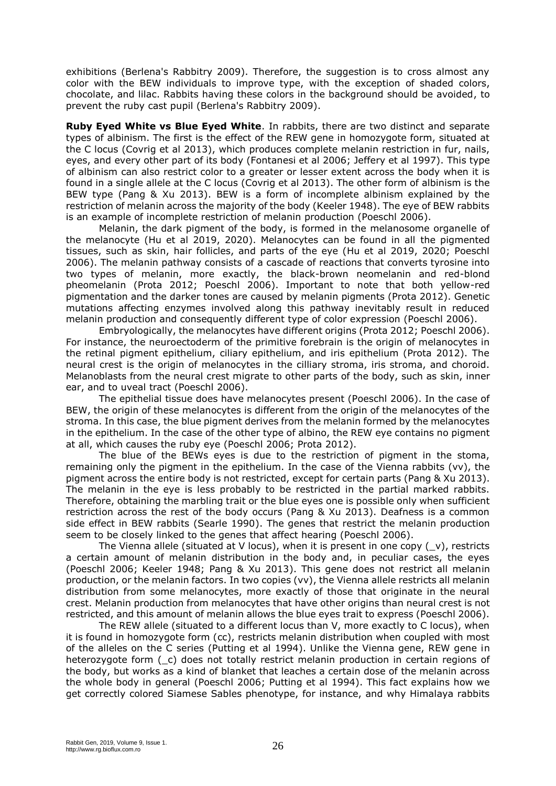exhibitions (Berlena's Rabbitry 2009). Therefore, the suggestion is to cross almost any color with the BEW individuals to improve type, with the exception of shaded colors, chocolate, and lilac. Rabbits having these colors in the background should be avoided, to prevent the ruby cast pupil (Berlena's Rabbitry 2009).

**Ruby Eyed White vs Blue Eyed White**. In rabbits, there are two distinct and separate types of albinism. The first is the effect of the REW gene in homozygote form, situated at the C locus (Covrig et al 2013), which produces complete melanin restriction in fur, nails, eyes, and every other part of its body (Fontanesi et al 2006; Jeffery et al 1997). This type of albinism can also restrict color to a greater or lesser extent across the body when it is found in a single allele at the C locus (Covrig et al 2013). The other form of albinism is the BEW type (Pang & Xu 2013). BEW is a form of incomplete albinism explained by the restriction of melanin across the majority of the body (Keeler 1948). The eye of BEW rabbits is an example of incomplete restriction of melanin production (Poeschl 2006).

Melanin, the dark pigment of the body, is formed in the melanosome organelle of the melanocyte (Hu et al 2019, 2020). Melanocytes can be found in all the pigmented tissues, such as skin, hair follicles, and parts of the eye (Hu et al 2019, 2020; Poeschl 2006). The melanin pathway consists of a cascade of reactions that converts tyrosine into two types of melanin, more exactly, the black-brown neomelanin and red-blond pheomelanin (Prota 2012; Poeschl 2006). Important to note that both yellow-red pigmentation and the darker tones are caused by melanin pigments (Prota 2012). Genetic mutations affecting enzymes involved along this pathway inevitably result in reduced melanin production and consequently different type of color expression (Poeschl 2006).

Embryologically, the melanocytes have different origins (Prota 2012; Poeschl 2006). For instance, the neuroectoderm of the primitive forebrain is the origin of melanocytes in the retinal pigment epithelium, ciliary epithelium, and iris epithelium (Prota 2012). The neural crest is the origin of melanocytes in the cilliary stroma, iris stroma, and choroid. Melanoblasts from the neural crest migrate to other parts of the body, such as skin, inner ear, and to uveal tract (Poeschl 2006).

The epithelial tissue does have melanocytes present (Poeschl 2006). In the case of BEW, the origin of these melanocytes is different from the origin of the melanocytes of the stroma. In this case, the blue pigment derives from the melanin formed by the melanocytes in the epithelium. In the case of the other type of albino, the REW eye contains no pigment at all, which causes the ruby eye (Poeschl 2006; Prota 2012).

The blue of the BEWs eyes is due to the restriction of pigment in the stoma, remaining only the pigment in the epithelium. In the case of the Vienna rabbits (vv), the pigment across the entire body is not restricted, except for certain parts (Pang & Xu 2013). The melanin in the eye is less probably to be restricted in the partial marked rabbits. Therefore, obtaining the marbling trait or the blue eyes one is possible only when sufficient restriction across the rest of the body occurs (Pang & Xu 2013). Deafness is a common side effect in BEW rabbits (Searle 1990). The genes that restrict the melanin production seem to be closely linked to the genes that affect hearing (Poeschl 2006).

The Vienna allele (situated at V locus), when it is present in one copy  $(y)$ , restricts a certain amount of melanin distribution in the body and, in peculiar cases, the eyes (Poeschl 2006; Keeler 1948; Pang & Xu 2013). This gene does not restrict all melanin production, or the melanin factors. In two copies (vv), the Vienna allele restricts all melanin distribution from some melanocytes, more exactly of those that originate in the neural crest. Melanin production from melanocytes that have other origins than neural crest is not restricted, and this amount of melanin allows the blue eyes trait to express (Poeschl 2006).

The REW allele (situated to a different locus than V, more exactly to C locus), when it is found in homozygote form (cc), restricts melanin distribution when coupled with most of the alleles on the C series (Putting et al 1994). Unlike the Vienna gene, REW gene in heterozygote form ( $\overline{c}$ ) does not totally restrict melanin production in certain regions of the body, but works as a kind of blanket that leaches a certain dose of the melanin across the whole body in general (Poeschl 2006; Putting et al 1994). This fact explains how we get correctly colored Siamese Sables phenotype, for instance, and why Himalaya rabbits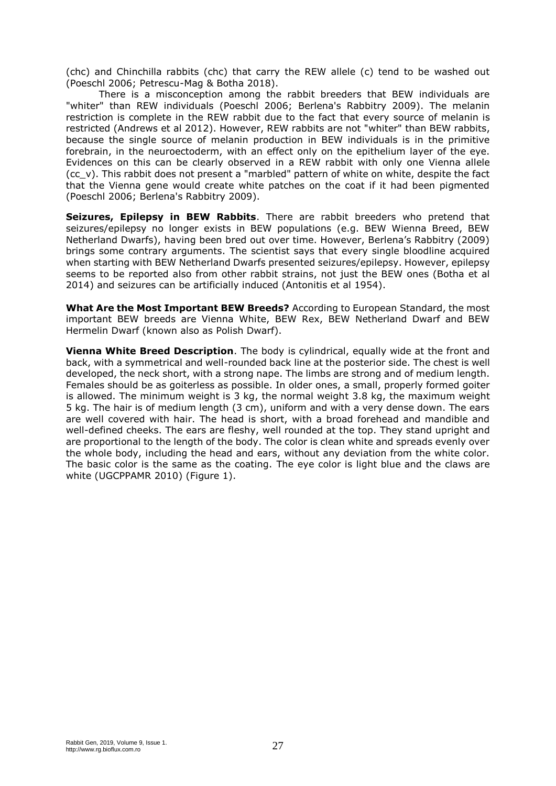(chc) and Chinchilla rabbits (chc) that carry the REW allele (c) tend to be washed out (Poeschl 2006; Petrescu-Mag & Botha 2018).

There is a misconception among the rabbit breeders that BEW individuals are "whiter" than REW individuals (Poeschl 2006; Berlena's Rabbitry 2009). The melanin restriction is complete in the REW rabbit due to the fact that every source of melanin is restricted (Andrews et al 2012). However, REW rabbits are not "whiter" than BEW rabbits, because the single source of melanin production in BEW individuals is in the primitive forebrain, in the neuroectoderm, with an effect only on the epithelium layer of the eye. Evidences on this can be clearly observed in a REW rabbit with only one Vienna allele (cc\_v). This rabbit does not present a "marbled" pattern of white on white, despite the fact that the Vienna gene would create white patches on the coat if it had been pigmented (Poeschl 2006; Berlena's Rabbitry 2009).

**Seizures, Epilepsy in BEW Rabbits**. There are rabbit breeders who pretend that seizures/epilepsy no longer exists in BEW populations (e.g. BEW Wienna Breed, BEW Netherland Dwarfs), having been bred out over time. However, Berlena's Rabbitry (2009) brings some contrary arguments. The scientist says that every single bloodline acquired when starting with BEW Netherland Dwarfs presented seizures/epilepsy. However, epilepsy seems to be reported also from other rabbit strains, not just the BEW ones (Botha et al 2014) and seizures can be artificially induced (Antonitis et al 1954).

**What Are the Most Important BEW Breeds?** According to European Standard, the most important BEW breeds are Vienna White, BEW Rex, BEW Netherland Dwarf and BEW Hermelin Dwarf (known also as Polish Dwarf).

**Vienna White Breed Description**. The body is cylindrical, equally wide at the front and back, with a symmetrical and well-rounded back line at the posterior side. The chest is well developed, the neck short, with a strong nape. The limbs are strong and of medium length. Females should be as goiterless as possible. In older ones, a small, properly formed goiter is allowed. The minimum weight is 3 kg, the normal weight 3.8 kg, the maximum weight 5 kg. The hair is of medium length (3 cm), uniform and with a very dense down. The ears are well covered with hair. The head is short, with a broad forehead and mandible and well-defined cheeks. The ears are fleshy, well rounded at the top. They stand upright and are proportional to the length of the body. The color is clean white and spreads evenly over the whole body, including the head and ears, without any deviation from the white color. The basic color is the same as the coating. The eye color is light blue and the claws are white (UGCPPAMR 2010) (Figure 1).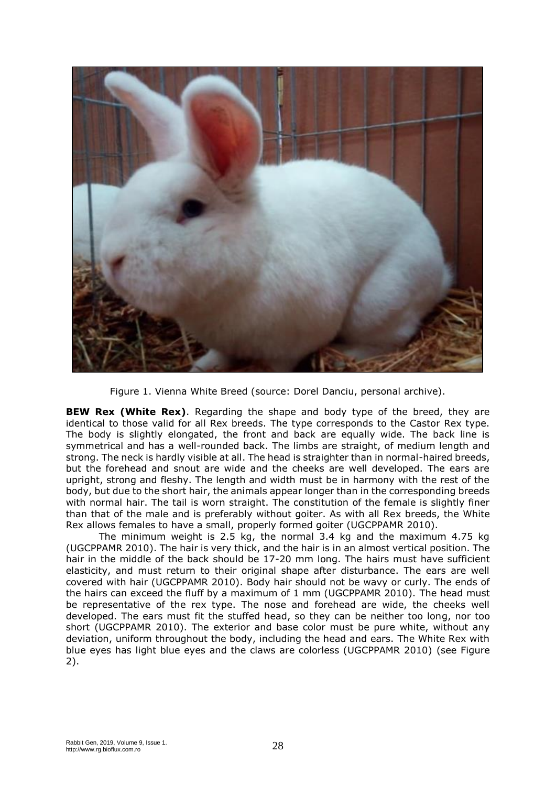

Figure 1. Vienna White Breed (source: Dorel Danciu, personal archive).

**BEW Rex (White Rex)**. Regarding the shape and body type of the breed, they are identical to those valid for all Rex breeds. The type corresponds to the Castor Rex type. The body is slightly elongated, the front and back are equally wide. The back line is symmetrical and has a well-rounded back. The limbs are straight, of medium length and strong. The neck is hardly visible at all. The head is straighter than in normal-haired breeds, but the forehead and snout are wide and the cheeks are well developed. The ears are upright, strong and fleshy. The length and width must be in harmony with the rest of the body, but due to the short hair, the animals appear longer than in the corresponding breeds with normal hair. The tail is worn straight. The constitution of the female is slightly finer than that of the male and is preferably without goiter. As with all Rex breeds, the White Rex allows females to have a small, properly formed goiter (UGCPPAMR 2010).

The minimum weight is 2.5 kg, the normal 3.4 kg and the maximum 4.75 kg (UGCPPAMR 2010). The hair is very thick, and the hair is in an almost vertical position. The hair in the middle of the back should be 17-20 mm long. The hairs must have sufficient elasticity, and must return to their original shape after disturbance. The ears are well covered with hair (UGCPPAMR 2010). Body hair should not be wavy or curly. The ends of the hairs can exceed the fluff by a maximum of 1 mm (UGCPPAMR 2010). The head must be representative of the rex type. The nose and forehead are wide, the cheeks well developed. The ears must fit the stuffed head, so they can be neither too long, nor too short (UGCPPAMR 2010). The exterior and base color must be pure white, without any deviation, uniform throughout the body, including the head and ears. The White Rex with blue eyes has light blue eyes and the claws are colorless (UGCPPAMR 2010) (see Figure 2).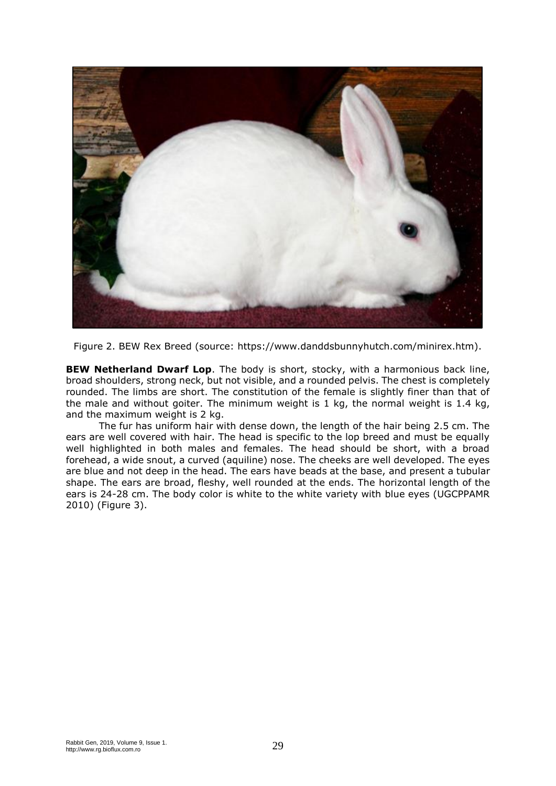

Figure 2. BEW Rex Breed (source: https://www.danddsbunnyhutch.com/minirex.htm).

**BEW Netherland Dwarf Lop**. The body is short, stocky, with a harmonious back line, broad shoulders, strong neck, but not visible, and a rounded pelvis. The chest is completely rounded. The limbs are short. The constitution of the female is slightly finer than that of the male and without goiter. The minimum weight is 1 kg, the normal weight is 1.4 kg, and the maximum weight is 2 kg.

The fur has uniform hair with dense down, the length of the hair being 2.5 cm. The ears are well covered with hair. The head is specific to the lop breed and must be equally well highlighted in both males and females. The head should be short, with a broad forehead, a wide snout, a curved (aquiline) nose. The cheeks are well developed. The eyes are blue and not deep in the head. The ears have beads at the base, and present a tubular shape. The ears are broad, fleshy, well rounded at the ends. The horizontal length of the ears is 24-28 cm. The body color is white to the white variety with blue eyes (UGCPPAMR 2010) (Figure 3).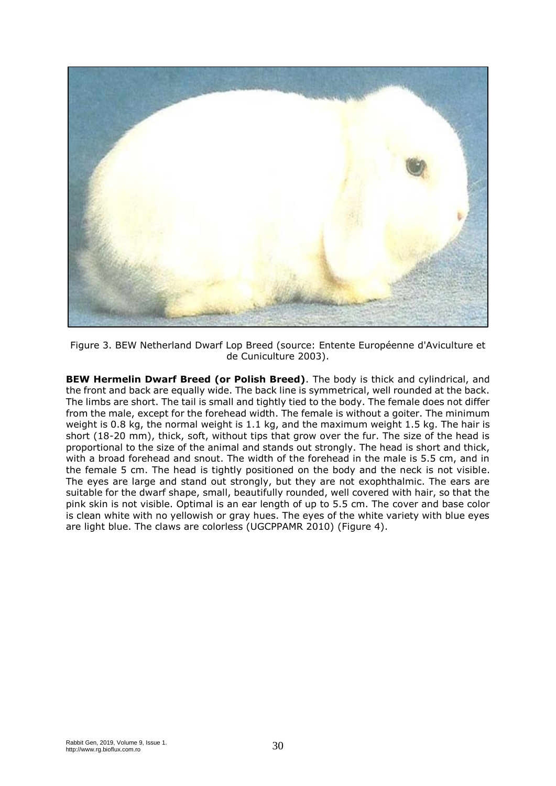

Figure 3. BEW Netherland Dwarf Lop Breed (source: Entente Européenne d'Aviculture et de Cuniculture 2003).

**BEW Hermelin Dwarf Breed (or Polish Breed)**. The body is thick and cylindrical, and the front and back are equally wide. The back line is symmetrical, well rounded at the back. The limbs are short. The tail is small and tightly tied to the body. The female does not differ from the male, except for the forehead width. The female is without a goiter. The minimum weight is 0.8 kg, the normal weight is 1.1 kg, and the maximum weight 1.5 kg. The hair is short (18-20 mm), thick, soft, without tips that grow over the fur. The size of the head is proportional to the size of the animal and stands out strongly. The head is short and thick, with a broad forehead and snout. The width of the forehead in the male is 5.5 cm, and in the female 5 cm. The head is tightly positioned on the body and the neck is not visible. The eyes are large and stand out strongly, but they are not exophthalmic. The ears are suitable for the dwarf shape, small, beautifully rounded, well covered with hair, so that the pink skin is not visible. Optimal is an ear length of up to 5.5 cm. The cover and base color is clean white with no yellowish or gray hues. The eyes of the white variety with blue eyes are light blue. The claws are colorless (UGCPPAMR 2010) (Figure 4).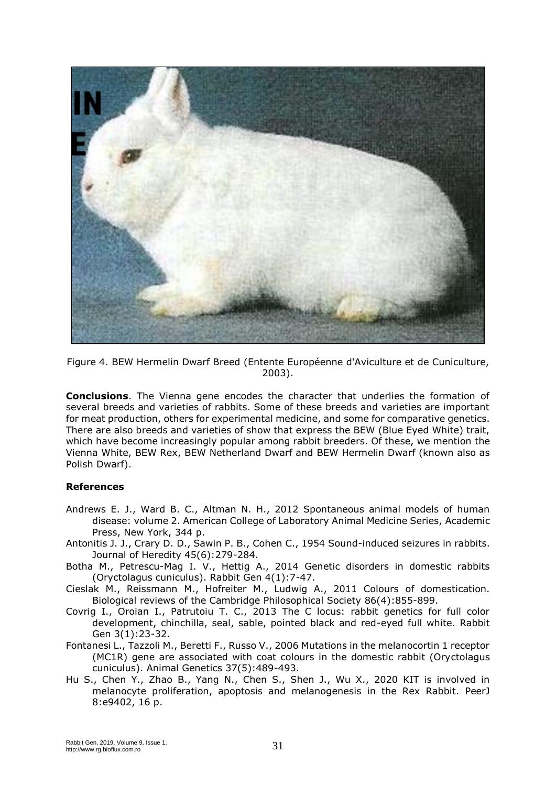

Figure 4. BEW Hermelin Dwarf Breed (Entente Européenne d'Aviculture et de Cuniculture, 2003).

**Conclusions**. The Vienna gene encodes the character that underlies the formation of several breeds and varieties of rabbits. Some of these breeds and varieties are important for meat production, others for experimental medicine, and some for comparative genetics. There are also breeds and varieties of show that express the BEW (Blue Eyed White) trait, which have become increasingly popular among rabbit breeders. Of these, we mention the Vienna White, BEW Rex, BEW Netherland Dwarf and BEW Hermelin Dwarf (known also as Polish Dwarf).

## **References**

- Andrews E. J., Ward B. C., Altman N. H., 2012 Spontaneous animal models of human disease: volume 2. American College of Laboratory Animal Medicine Series, Academic Press, New York, 344 p.
- Antonitis J. J., Crary D. D., Sawin P. B., Cohen C., 1954 Sound-induced seizures in rabbits. Journal of Heredity 45(6):279-284.
- Botha M., Petrescu-Mag I. V., Hettig A., 2014 Genetic disorders in domestic rabbits (Oryctolagus cuniculus). Rabbit Gen 4(1):7-47.
- Cieslak M., Reissmann M., Hofreiter M., Ludwig A., 2011 Colours of domestication. Biological reviews of the Cambridge Philosophical Society 86(4):855-899.
- Covrig I., Oroian I., Patrutoiu T. C., 2013 The C locus: rabbit genetics for full color development, chinchilla, seal, sable, pointed black and red-eyed full white. Rabbit Gen 3(1):23-32.
- Fontanesi L., Tazzoli M., Beretti F., Russo V., 2006 Mutations in the melanocortin 1 receptor (MC1R) gene are associated with coat colours in the domestic rabbit (Oryctolagus cuniculus). Animal Genetics 37(5):489-493.
- Hu S., Chen Y., Zhao B., Yang N., Chen S., Shen J., Wu X., 2020 KIT is involved in melanocyte proliferation, apoptosis and melanogenesis in the Rex Rabbit. PeerJ 8:e9402, 16 p.